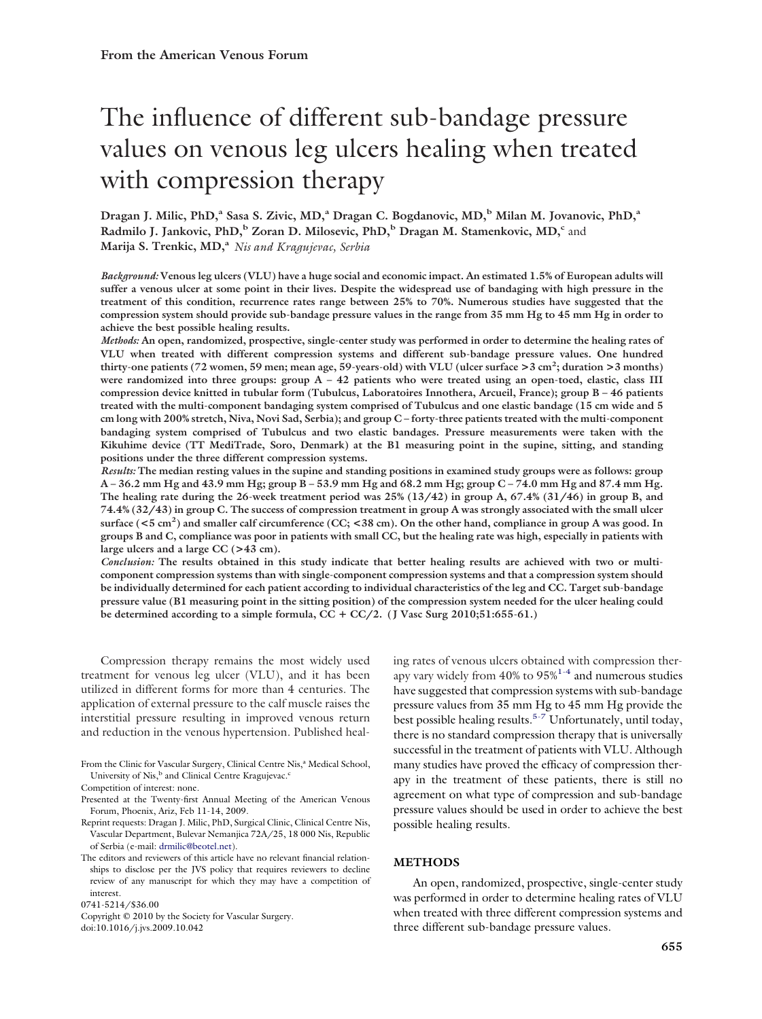# The influence of different sub-bandage pressure values on venous leg ulcers healing when treated with compression therapy

Dragan J. Milic, PhD,<sup>a</sup> Sasa S. Zivic, MD,<sup>a</sup> Dragan C. Bogdanovic, MD,<sup>b</sup> Milan M. Jovanovic, PhD,<sup>a</sup> **Radmilo J. Jankovic, PhD,<sup>b</sup> Zoran D. Milosevic, PhD,<sup>b</sup> Dragan M. Stamenkovic, MD,<sup>c</sup> and** Marija S. Trenkic, MD,<sup>a</sup> *Nis and Kragujevac*, *Serbia* 

*Background:* **Venous leg ulcers (VLU) have a huge social and economic impact. An estimated 1.5% of European adults will suffer a venous ulcer at some point in their lives. Despite the widespread use of bandaging with high pressure in the treatment of this condition, recurrence rates range between 25% to 70%. Numerous studies have suggested that the compression system should provide sub-bandage pressure values in the range from 35 mm Hg to 45 mm Hg in order to achieve the best possible healing results.**

*Methods:* **An open, randomized, prospective, single-center study was performed in order to determine the healing rates of VLU when treated with different compression systems and different sub-bandage pressure values. One hundred thirty-one patients (72 women, 59 men; mean age, 59-years-old) with VLU (ulcer surface >3 cm2 ; duration >3 months)** were randomized into three groups: group  $A - 42$  patients who were treated using an open-toed, elastic, class III **compression device knitted in tubular form (Tubulcus, Laboratoires Innothera, Arcueil, France); group B – 46 patients treated with the multi-component bandaging system comprised of Tubulcus and one elastic bandage (15 cm wide and 5 cm long with 200% stretch, Niva, Novi Sad, Serbia); and group C – forty-three patients treated with the multi-component bandaging system comprised of Tubulcus and two elastic bandages. Pressure measurements were taken with the Kikuhime device (TT MediTrade, Soro, Denmark) at the B1 measuring point in the supine, sitting, and standing positions under the three different compression systems.**

*Results:* **The median resting values in the supine and standing positions in examined study groups were as follows: group A – 36.2 mm Hg and 43.9 mm Hg; group B – 53.9 mm Hg and 68.2 mm Hg; group C – 74.0 mm Hg and 87.4 mm Hg. The healing rate during the 26-week treatment period was 25% (13/42) in group A, 67.4% (31/46) in group B, and 74.4% (32/43) in group C. The success of compression treatment in group A was strongly associated with the small ulcer surface (<5 cm2 ) and smaller calf circumference (CC; <38 cm). On the other hand, compliance in group A was good. In groups B and C, compliance was poor in patients with small CC, but the healing rate was high, especially in patients with large ulcers and a large CC (>43 cm).**

*Conclusion:* **The results obtained in this study indicate that better healing results are achieved with two or multicomponent compression systems than with single-component compression systems and that a compression system should be individually determined for each patient according to individual characteristics of the leg and CC. Target sub-bandage pressure value (B1 measuring point in the sitting position) of the compression system needed for the ulcer healing could** be determined according to a simple formula,  $CC + CC/2$ . (J Vasc Surg 2010;51:655-61.)

Compression therapy remains the most widely used treatment for venous leg ulcer (VLU), and it has been utilized in different forms for more than 4 centuries. The application of external pressure to the calf muscle raises the interstitial pressure resulting in improved venous return and reduction in the venous hypertension. Published heal-

0741-5214/\$36.00

Copyright © 2010 by the Society for Vascular Surgery. doi:10.1016/j.jvs.2009.10.042

ing rates of venous ulcers obtained with compression therapy vary widely from  $40\%$  to  $95\%$ <sup>[1-4](#page-6-0)</sup> and numerous studies have suggested that compression systems with sub-bandage pressure values from 35 mm Hg to 45 mm Hg provide the best possible healing results.<sup>[5-7](#page-6-0)</sup> Unfortunately, until today, there is no standard compression therapy that is universally successful in the treatment of patients with VLU. Although many studies have proved the efficacy of compression therapy in the treatment of these patients, there is still no agreement on what type of compression and sub-bandage pressure values should be used in order to achieve the best possible healing results.

## **METHODS**

An open, randomized, prospective, single-center study was performed in order to determine healing rates of VLU when treated with three different compression systems and three different sub-bandage pressure values.

From the Clinic for Vascular Surgery, Clinical Centre Nis,<sup>a</sup> Medical School, University of Nis,<sup>b</sup> and Clinical Centre Kragujevac.<sup>c</sup>

Competition of interest: none.

Presented at the Twenty-first Annual Meeting of the American Venous Forum, Phoenix, Ariz, Feb 11-14, 2009.

Reprint requests: Dragan J. Milic, PhD, Surgical Clinic, Clinical Centre Nis, Vascular Department, Bulevar Nemanjica 72A/25, 18 000 Nis, Republic of Serbia (e-mail: [drmilic@beotel.net\)](mailto:drmilic@beotel.net).

The editors and reviewers of this article have no relevant financial relationships to disclose per the JVS policy that requires reviewers to decline review of any manuscript for which they may have a competition of interest.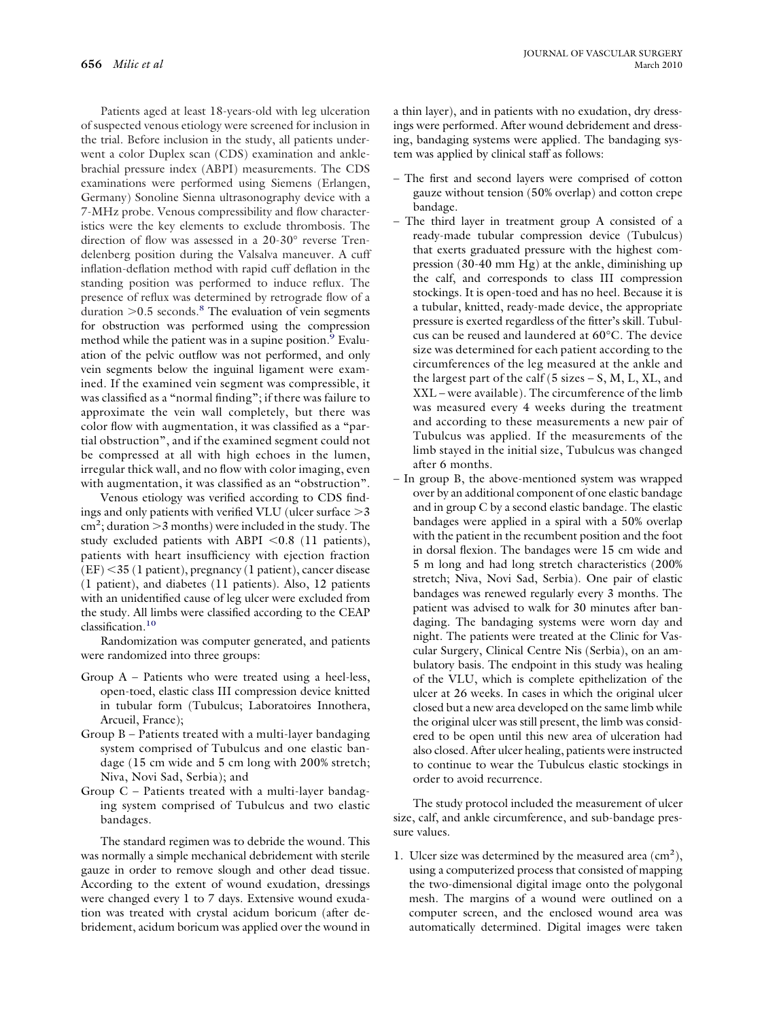Patients aged at least 18-years-old with leg ulceration of suspected venous etiology were screened for inclusion in the trial. Before inclusion in the study, all patients underwent a color Duplex scan (CDS) examination and anklebrachial pressure index (ABPI) measurements. The CDS examinations were performed using Siemens (Erlangen, Germany) Sonoline Sienna ultrasonography device with a 7-MHz probe. Venous compressibility and flow characteristics were the key elements to exclude thrombosis. The direction of flow was assessed in a 20-30° reverse Trendelenberg position during the Valsalva maneuver. A cuff inflation-deflation method with rapid cuff deflation in the standing position was performed to induce reflux. The presence of reflux was determined by retrograde flow of a duration  $> 0.5$  seconds.<sup>[8](#page-6-0)</sup> The evaluation of vein segments for obstruction was performed using the compression method while the patient was in a supine position.<sup>9</sup> Evaluation of the pelvic outflow was not performed, and only vein segments below the inguinal ligament were examined. If the examined vein segment was compressible, it was classified as a "normal finding"; if there was failure to approximate the vein wall completely, but there was color flow with augmentation, it was classified as a "partial obstruction", and if the examined segment could not be compressed at all with high echoes in the lumen, irregular thick wall, and no flow with color imaging, even with augmentation, it was classified as an "obstruction".

Venous etiology was verified according to CDS findings and only patients with verified VLU (ulcer surface  $>3$  $\text{cm}^2$ ; duration  $>$ 3 months) were included in the study. The study excluded patients with ABPI <0.8 (11 patients), patients with heart insufficiency with ejection fraction (EF) -35 (1 patient), pregnancy (1 patient), cancer disease (1 patient), and diabetes (11 patients). Also, 12 patients with an unidentified cause of leg ulcer were excluded from the study. All limbs were classified according to the CEAP classification[.10](#page-6-0)

Randomization was computer generated, and patients were randomized into three groups:

- Group A Patients who were treated using a heel-less, open-toed, elastic class III compression device knitted in tubular form (Tubulcus; Laboratoires Innothera, Arcueil, France);
- Group B Patients treated with a multi-layer bandaging system comprised of Tubulcus and one elastic bandage (15 cm wide and 5 cm long with 200% stretch; Niva, Novi Sad, Serbia); and
- Group C Patients treated with a multi-layer bandaging system comprised of Tubulcus and two elastic bandages.

The standard regimen was to debride the wound. This was normally a simple mechanical debridement with sterile gauze in order to remove slough and other dead tissue. According to the extent of wound exudation, dressings were changed every 1 to 7 days. Extensive wound exudation was treated with crystal acidum boricum (after debridement, acidum boricum was applied over the wound in a thin layer), and in patients with no exudation, dry dressings were performed. After wound debridement and dressing, bandaging systems were applied. The bandaging system was applied by clinical staff as follows:

- The first and second layers were comprised of cotton gauze without tension (50% overlap) and cotton crepe bandage.
- The third layer in treatment group A consisted of a ready-made tubular compression device (Tubulcus) that exerts graduated pressure with the highest compression (30-40 mm Hg) at the ankle, diminishing up the calf, and corresponds to class III compression stockings. It is open-toed and has no heel. Because it is a tubular, knitted, ready-made device, the appropriate pressure is exerted regardless of the fitter's skill. Tubulcus can be reused and laundered at 60°C. The device size was determined for each patient according to the circumferences of the leg measured at the ankle and the largest part of the calf  $(5 \text{ sizes} - S, M, L, XL, and$ XXL – were available). The circumference of the limb was measured every 4 weeks during the treatment and according to these measurements a new pair of Tubulcus was applied. If the measurements of the limb stayed in the initial size, Tubulcus was changed after 6 months.
- In group B, the above-mentioned system was wrapped over by an additional component of one elastic bandage and in group C by a second elastic bandage. The elastic bandages were applied in a spiral with a 50% overlap with the patient in the recumbent position and the foot in dorsal flexion. The bandages were 15 cm wide and 5 m long and had long stretch characteristics (200% stretch; Niva, Novi Sad, Serbia). One pair of elastic bandages was renewed regularly every 3 months. The patient was advised to walk for 30 minutes after bandaging. The bandaging systems were worn day and night. The patients were treated at the Clinic for Vascular Surgery, Clinical Centre Nis (Serbia), on an ambulatory basis. The endpoint in this study was healing of the VLU, which is complete epithelization of the ulcer at 26 weeks. In cases in which the original ulcer closed but a new area developed on the same limb while the original ulcer was still present, the limb was considered to be open until this new area of ulceration had also closed. After ulcer healing, patients were instructed to continue to wear the Tubulcus elastic stockings in order to avoid recurrence.

The study protocol included the measurement of ulcer size, calf, and ankle circumference, and sub-bandage pressure values.

1. Ulcer size was determined by the measured area  $(cm<sup>2</sup>)$ , using a computerized process that consisted of mapping the two-dimensional digital image onto the polygonal mesh. The margins of a wound were outlined on a computer screen, and the enclosed wound area was automatically determined. Digital images were taken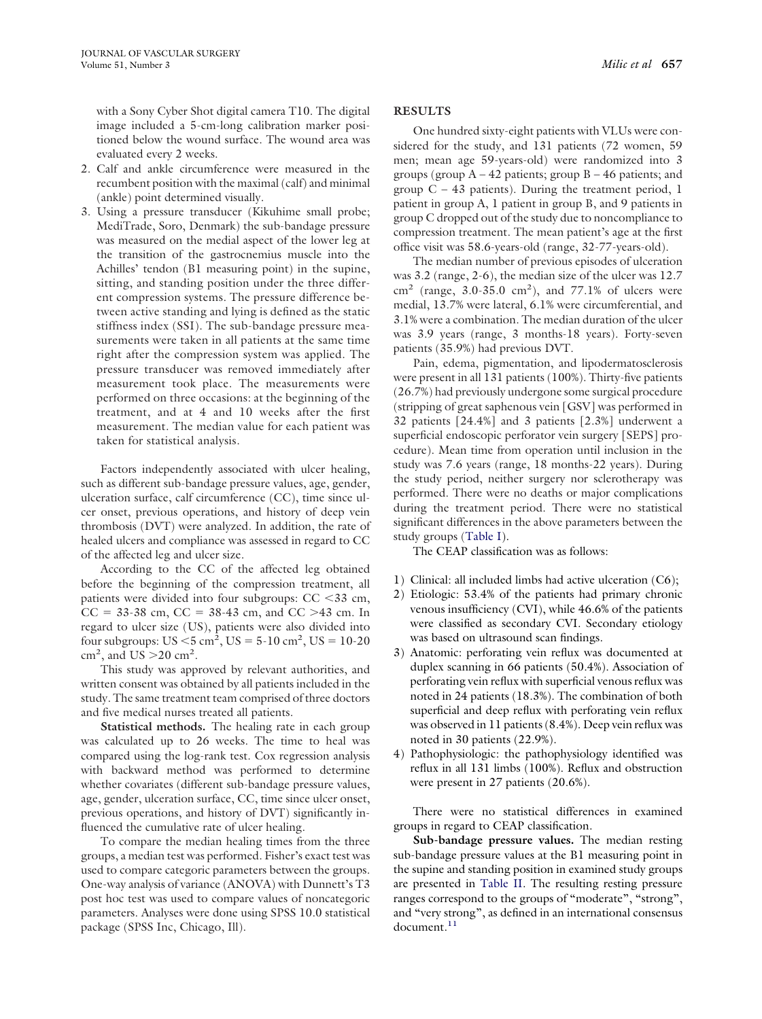with a Sony Cyber Shot digital camera T10. The digital image included a 5-cm-long calibration marker positioned below the wound surface. The wound area was evaluated every 2 weeks.

- 2. Calf and ankle circumference were measured in the recumbent position with the maximal (calf) and minimal (ankle) point determined visually.
- 3. Using a pressure transducer (Kikuhime small probe; MediTrade, Soro, Denmark) the sub-bandage pressure was measured on the medial aspect of the lower leg at the transition of the gastrocnemius muscle into the Achilles' tendon (B1 measuring point) in the supine, sitting, and standing position under the three different compression systems. The pressure difference between active standing and lying is defined as the static stiffness index (SSI). The sub-bandage pressure measurements were taken in all patients at the same time right after the compression system was applied. The pressure transducer was removed immediately after measurement took place. The measurements were performed on three occasions: at the beginning of the treatment, and at 4 and 10 weeks after the first measurement. The median value for each patient was taken for statistical analysis.

Factors independently associated with ulcer healing, such as different sub-bandage pressure values, age, gender, ulceration surface, calf circumference (CC), time since ulcer onset, previous operations, and history of deep vein thrombosis (DVT) were analyzed. In addition, the rate of healed ulcers and compliance was assessed in regard to CC of the affected leg and ulcer size.

According to the CC of the affected leg obtained before the beginning of the compression treatment, all patients were divided into four subgroups: CC <33 cm,  $CC = 33-38$  cm,  $CC = 38-43$  cm, and  $CC > 43$  cm. In regard to ulcer size (US), patients were also divided into four subgroups:  $US < 5$  cm<sup>2</sup>,  $US = 5{\text -}10$  cm<sup>2</sup>,  $US = 10{\text -}20$  $\text{cm}^2$ , and US  $>$  20  $\text{cm}^2$ .

This study was approved by relevant authorities, and written consent was obtained by all patients included in the study. The same treatment team comprised of three doctors and five medical nurses treated all patients.

**Statistical methods.** The healing rate in each group was calculated up to 26 weeks. The time to heal was compared using the log-rank test. Cox regression analysis with backward method was performed to determine whether covariates (different sub-bandage pressure values, age, gender, ulceration surface, CC, time since ulcer onset, previous operations, and history of DVT) significantly influenced the cumulative rate of ulcer healing.

To compare the median healing times from the three groups, a median test was performed. Fisher's exact test was used to compare categoric parameters between the groups. One-way analysis of variance (ANOVA) with Dunnett's T3 post hoc test was used to compare values of noncategoric parameters. Analyses were done using SPSS 10.0 statistical package (SPSS Inc, Chicago, Ill).

#### **RESULTS**

One hundred sixty-eight patients with VLUs were considered for the study, and 131 patients (72 women, 59 men; mean age 59-years-old) were randomized into 3 groups (group  $A - 42$  patients; group  $B - 46$  patients; and group  $C - 43$  patients). During the treatment period, 1 patient in group A, 1 patient in group B, and 9 patients in group C dropped out of the study due to noncompliance to compression treatment. The mean patient's age at the first office visit was 58.6-years-old (range, 32-77-years-old).

The median number of previous episodes of ulceration was 3.2 (range, 2-6), the median size of the ulcer was 12.7  $\text{cm}^2$  (range, 3.0-35.0  $\text{cm}^2$ ), and 77.1% of ulcers were medial, 13.7% were lateral, 6.1% were circumferential, and 3.1% were a combination. The median duration of the ulcer was 3.9 years (range, 3 months-18 years). Forty-seven patients (35.9%) had previous DVT.

Pain, edema, pigmentation, and lipodermatosclerosis were present in all 131 patients (100%). Thirty-five patients (26.7%) had previously undergone some surgical procedure (stripping of great saphenous vein [GSV] was performed in 32 patients [24.4%] and 3 patients [2.3%] underwent a superficial endoscopic perforator vein surgery [SEPS] procedure). Mean time from operation until inclusion in the study was 7.6 years (range, 18 months-22 years). During the study period, neither surgery nor sclerotherapy was performed. There were no deaths or major complications during the treatment period. There were no statistical significant differences in the above parameters between the study groups [\(Table I\)](#page-3-0).

The CEAP classification was as follows:

- 1) Clinical: all included limbs had active ulceration (C6);
- 2) Etiologic: 53.4% of the patients had primary chronic venous insufficiency (CVI), while 46.6% of the patients were classified as secondary CVI. Secondary etiology was based on ultrasound scan findings.
- 3) Anatomic: perforating vein reflux was documented at duplex scanning in 66 patients (50.4%). Association of perforating vein reflux with superficial venous reflux was noted in 24 patients (18.3%). The combination of both superficial and deep reflux with perforating vein reflux was observed in 11 patients (8.4%). Deep vein reflux was noted in 30 patients (22.9%).
- 4) Pathophysiologic: the pathophysiology identified was reflux in all 131 limbs (100%). Reflux and obstruction were present in 27 patients (20.6%).

There were no statistical differences in examined groups in regard to CEAP classification.

**Sub-bandage pressure values.** The median resting sub-bandage pressure values at the B1 measuring point in the supine and standing position in examined study groups are presented in [Table II.](#page-3-0) The resulting resting pressure ranges correspond to the groups of "moderate", "strong", and "very strong", as defined in an international consensus document.<sup>11</sup>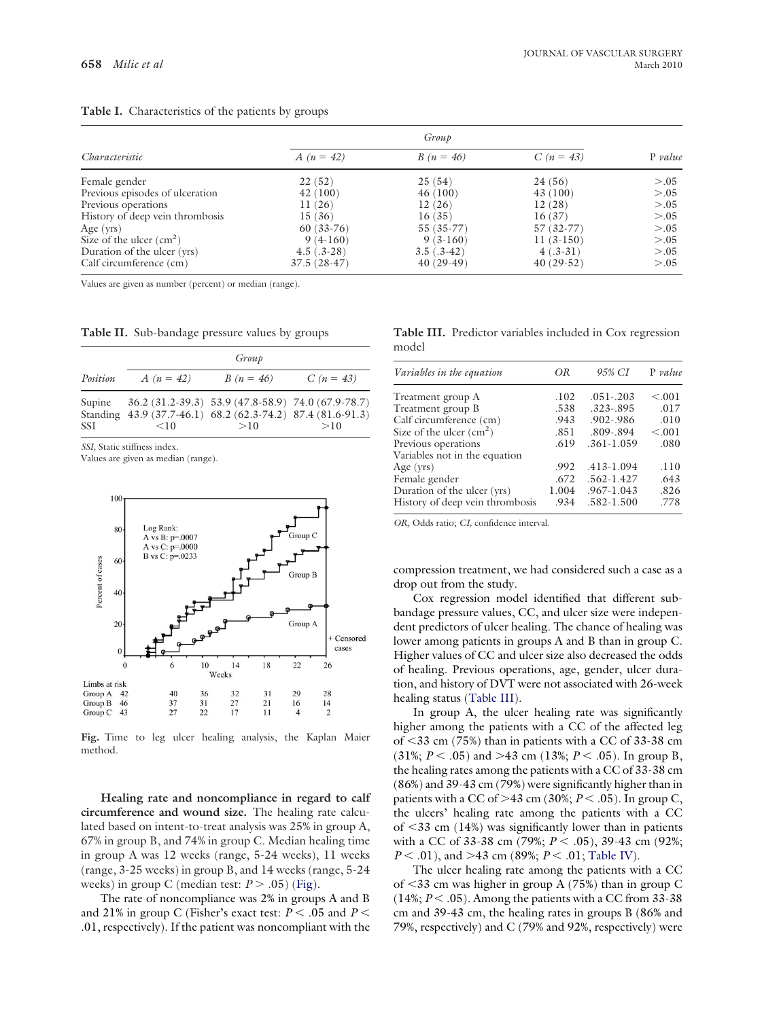#### <span id="page-3-0"></span>**Table I.** Characteristics of the patients by groups

|                                 | Group         |              |             |           |  |
|---------------------------------|---------------|--------------|-------------|-----------|--|
| Characteristic                  | $A(n = 42)$   | $B(n = 46)$  | $C(n = 43)$ | $P$ value |  |
| Female gender                   | 22(52)        | 25(54)       | 24(56)      | > 0.05    |  |
| Previous episodes of ulceration | 42(100)       | 46(100)      | 43(100)     | > 0.05    |  |
| Previous operations             | 11(26)        | 12(26)       | 12(28)      | > 0.05    |  |
| History of deep vein thrombosis | 15(36)        | 16(35)       | 16(37)      | > 0.05    |  |
| Age $(vrs)$                     | $60(33-76)$   | 55 (35-77)   | $57(32-77)$ | > 0.05    |  |
| Size of the ulcer $(cm2)$       | $9(4-160)$    | $9(3-160)$   | $11(3-150)$ | > 0.05    |  |
| Duration of the ulcer (yrs)     | $4.5(.3-28)$  | $3.5(.3-42)$ | $4(.3-31)$  | > 0.05    |  |
| Calf circumference (cm)         | $37.5(28-47)$ | $40(29-49)$  | $40(29-52)$ | > 0.05    |  |

Values are given as number (percent) or median (range).

|                      | Group                                                              |                                                             |             |  |  |
|----------------------|--------------------------------------------------------------------|-------------------------------------------------------------|-------------|--|--|
| Position             | A $(n = 42)$                                                       | $B(n = 46)$                                                 | $C(n = 43)$ |  |  |
| Supine<br><b>SSI</b> | Standing 43.9 (37.7-46.1) 68.2 (62.3-74.2) 87.4 (81.6-91.3)<br><10 | $36.2 (31.2-39.3) 53.9 (47.8-58.9) 74.0 (67.9-78.7)$<br>>10 | >10         |  |  |

*SSI,* Static stiffness index.

Values are given as median (range).



**Fig.** Time to leg ulcer healing analysis, the Kaplan Maier method.

**Healing rate and noncompliance in regard to calf circumference and wound size.** The healing rate calculated based on intent-to-treat analysis was 25% in group A, 67% in group B, and 74% in group C. Median healing time in group A was 12 weeks (range, 5-24 weeks), 11 weeks (range, 3-25 weeks) in group B, and 14 weeks (range, 5-24 weeks) in group C (median test:  $P > .05$ ) (Fig).

The rate of noncompliance was 2% in groups A and B and 21% in group C (Fisher's exact test:  $P < .05$  and  $P <$ .01, respectively). If the patient was noncompliant with the

| Table III. Predictor variables included in Cox regression |  |  |  |  |
|-----------------------------------------------------------|--|--|--|--|
| model                                                     |  |  |  |  |

| Variables in the equation       | OR    | 95% CI         | $P$ value |
|---------------------------------|-------|----------------|-----------|
| Treatment group A               | .102  | $.051 - .203$  | < 0.001   |
| Treatment group B               | .538  | $.323 - .895$  | .017      |
| Calf circumference (cm)         | .943  | .902-.986      | .010      |
| Size of the ulcer $(cm2)$       | .851  | .809-.894      | < 0.001   |
| Previous operations             | .619  | $.361 - 1.059$ | .080      |
| Variables not in the equation   |       |                |           |
| Age $(vrs)$                     | .992  | .413-1.094     | .110      |
| Female gender                   | .672  | $.562 - 1.427$ | .643      |
| Duration of the ulcer (yrs)     | 1.004 | .967-1.043     | .826      |
| History of deep vein thrombosis | .934  | $.582 - 1.500$ | .778      |

*OR,* Odds ratio; *CI,* confidence interval.

compression treatment, we had considered such a case as a drop out from the study.

Cox regression model identified that different subbandage pressure values, CC, and ulcer size were independent predictors of ulcer healing. The chance of healing was lower among patients in groups A and B than in group C. Higher values of CC and ulcer size also decreased the odds of healing. Previous operations, age, gender, ulcer duration, and history of DVT were not associated with 26-week healing status (Table III).

In group A, the ulcer healing rate was significantly higher among the patients with a CC of the affected leg of -33 cm (75%) than in patients with a CC of 33-38 cm  $(31\%; P < .05)$  and >43 cm  $(13\%; P < .05)$ . In group B, the healing rates among the patients with a CC of 33-38 cm (86%) and 39-43 cm (79%) were significantly higher than in patients with a CC of >43 cm (30%;  $P$  < .05). In group C, the ulcers' healing rate among the patients with a CC of <33 cm (14%) was significantly lower than in patients with a CC of 33-38 cm (79%; *P* - .05), 39-43 cm (92%;  $P < .01$ ), and >43 cm (89%;  $P < .01$ ; [Table IV\)](#page-4-0).

The ulcer healing rate among the patients with a CC of -33 cm was higher in group A (75%) than in group C  $(14\%; P < .05)$ . Among the patients with a CC from 33-38 cm and 39-43 cm, the healing rates in groups B (86% and 79%, respectively) and C (79% and 92%, respectively) were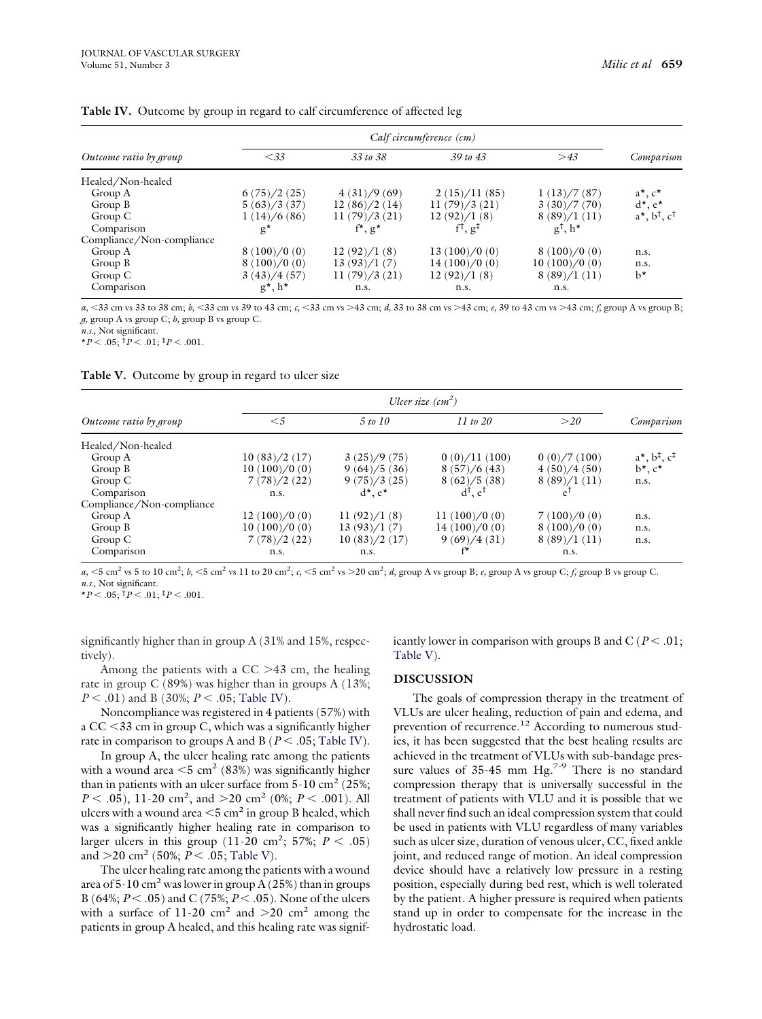|                           | Calf circumference (cm) |                        |                        |                    |                                       |  |
|---------------------------|-------------------------|------------------------|------------------------|--------------------|---------------------------------------|--|
| Outcome ratio by group    | < 33                    | 33 to 38               | $39 \text{ to } 43$    | >43                | Comparison                            |  |
| Healed/Non-healed         |                         |                        |                        |                    |                                       |  |
| Group A                   | 6(75)/2(25)             | 4(31)/9(69)            | 2(15)/11(85)           | 1(13)/7(87)        | $a^*$ , $c^*$                         |  |
| Group B                   | 5(63)/3(37)             | 12(86)/2(14)           | 11(79)/3(21)           | 3(30)/7(70)        | $d^*, e^*$                            |  |
| Group C                   | 1(14)/6(86)             | 11(79)/3(21)           | 12(92)/1(8)            | 8(89)/1(11)        | $a^*$ , $b^{\dagger}$ , $c^{\dagger}$ |  |
| Comparison                | $g^*$                   | $f^{\star}, g^{\star}$ | $\cdot$ g <sup>+</sup> | $g^{\dagger}$ , h* |                                       |  |
| Compliance/Non-compliance |                         |                        |                        |                    |                                       |  |
| Group A                   | 8(100)/0(0)             | 12(92)/1(8)            | 13(100)/0(0)           | 8(100)/0(0)        | n.s.                                  |  |
| Group B                   | 8(100)/0(0)             | 13(93)/1(7)            | 14(100)/0(0)           | 10(100)/0(0)       | n.s.                                  |  |
| Group C                   | 3(43)/4(57)             | 11(79)/3(21)           | 12(92)/1(8)            | 8(89)/1(11)        | $b^*$                                 |  |
| Comparison                | $g^*$ , h <sup>*</sup>  | n.s.                   | n.s.                   | n.s.               |                                       |  |

<span id="page-4-0"></span>**Table IV.** Outcome by group in regard to calf circumference of affected leg

*a*, <33 cm vs 33 to 38 cm; *b*, <33 cm vs 39 to 43 cm; *c*, <33 cm vs >43 cm; *d*, 33 to 38 cm vs >43 cm; *e*, 39 to 43 cm vs >43 cm; *f*, group A vs group B; *g,* group A vs group C; *h,* group B vs group C.

*n.s.,* Not significant.

 $*P < .05$ ;  $^{\dagger}P < .01$ ;  $^{\ddagger}P < .001$ .

**Table V.** Outcome by group in regard to ulcer size

|                           | Ulcer size $\left(\text{cm}^2\right)$ |               |                               |             |                                         |  |
|---------------------------|---------------------------------------|---------------|-------------------------------|-------------|-----------------------------------------|--|
| Outcome ratio by group    | $<$ 5                                 | 5 to 10       | $11 \text{ to } 20$           | >20         | Comparison                              |  |
| Healed/Non-healed         |                                       |               |                               |             |                                         |  |
| Group A                   | 10(83)/2(17)                          | 3(25)/9(75)   | 0(0)/11(100)                  | 0(0)/7(100) | $a^*$ , $b^{\ddagger}$ , $c^{\ddagger}$ |  |
| Group B                   | 10(100)/0(0)                          | 9(64)/5(36)   | 8(57)/6(43)                   | 4(50)/4(50) | $b^*, c^*$                              |  |
| Group $C$                 | 7(78)/2(22)                           | 9(75)/3(25)   | 8(62)/5(38)                   | 8(89)/1(11) | n.s.                                    |  |
| Comparison                | n.s.                                  | $d^*$ , $e^*$ | $d^{\dagger}$ . $e^{\dagger}$ |             |                                         |  |
| Compliance/Non-compliance |                                       |               |                               |             |                                         |  |
| Group A                   | 12(100)/0(0)                          | 11(92)/1(8)   | 11 $(100)/0(0)$               | 7(100)/0(0) | n.s.                                    |  |
| Group B                   | 10(100)/0(0)                          | 13(93)/1(7)   | 14(100)/0(0)                  | 8(100)/0(0) | n.s.                                    |  |
| Group $C$                 | 7(78)/2(22)                           | 10(83)/2(17)  | 9(69)/4(31)                   | 8(89)/1(11) | n.s.                                    |  |
| Comparison                | n.s.                                  | n.s.          | $f^*$                         | n.s.        |                                         |  |

 $a_1$  < 5 cm<sup>2</sup> vs 5 to 10 cm<sup>2</sup>;  $b_1$  < 5 cm<sup>2</sup> vs 11 to 20 cm<sup>2</sup>;  $c_1$  < 5 cm<sup>2</sup> vs > 20 cm<sup>2</sup>;  $d_1$  group A vs group B;  $e_1$  group A vs group C;  $f_2$  group B vs group C. *n.s.,* Not significant.

 $*P < .05$ ;  $^{\dagger}P < .01$ ;  $^{\dagger}P < .001$ .

significantly higher than in group A (31% and 15%, respectively).

Among the patients with a  $CC > 43$  cm, the healing rate in group C (89%) was higher than in groups A (13%;  $P < .01$ ) and B (30%;  $P < .05$ ; Table IV).

Noncompliance was registered in 4 patients (57%) with a CC -33 cm in group C, which was a significantly higher rate in comparison to groups A and B ( $P < .05$ ; Table IV).

In group A, the ulcer healing rate among the patients with a wound area  $\leq 5$  cm<sup>2</sup> (83%) was significantly higher than in patients with an ulcer surface from  $5\text{-}10 \text{ cm}^2$  (25%;  $P < .05$ ), 11-20 cm<sup>2</sup>, and > 20 cm<sup>2</sup> (0%;  $P < .001$ ). All ulcers with a wound area  $\leq$ 5 cm<sup>2</sup> in group B healed, which was a significantly higher healing rate in comparison to larger ulcers in this group  $(11{\text -}20 \text{ cm}^2; 57\%; P < .05)$ and  $>$ 20 cm<sup>2</sup> (50%;  $P < .05$ ; Table V).

The ulcer healing rate among the patients with a wound area of  $5-10$  cm<sup>2</sup> was lower in group A (25%) than in groups B (64%; *P* - .05) and C (75%; *P* - .05). None of the ulcers with a surface of 11-20 cm<sup>2</sup> and  $>$ 20 cm<sup>2</sup> among the patients in group A healed, and this healing rate was signif-

icantly lower in comparison with groups B and  $C$  ( $P < .01;$ Table V).

# **DISCUSSION**

The goals of compression therapy in the treatment of VLUs are ulcer healing, reduction of pain and edema, and prevention of recurrence.<sup>12</sup> According to numerous studies, it has been suggested that the best healing results are achieved in the treatment of VLUs with sub-bandage pressure values of  $35-45$  mm Hg.<sup>[7-9](#page-6-0)</sup> There is no standard compression therapy that is universally successful in the treatment of patients with VLU and it is possible that we shall never find such an ideal compression system that could be used in patients with VLU regardless of many variables such as ulcer size, duration of venous ulcer, CC, fixed ankle joint, and reduced range of motion. An ideal compression device should have a relatively low pressure in a resting position, especially during bed rest, which is well tolerated by the patient. A higher pressure is required when patients stand up in order to compensate for the increase in the hydrostatic load.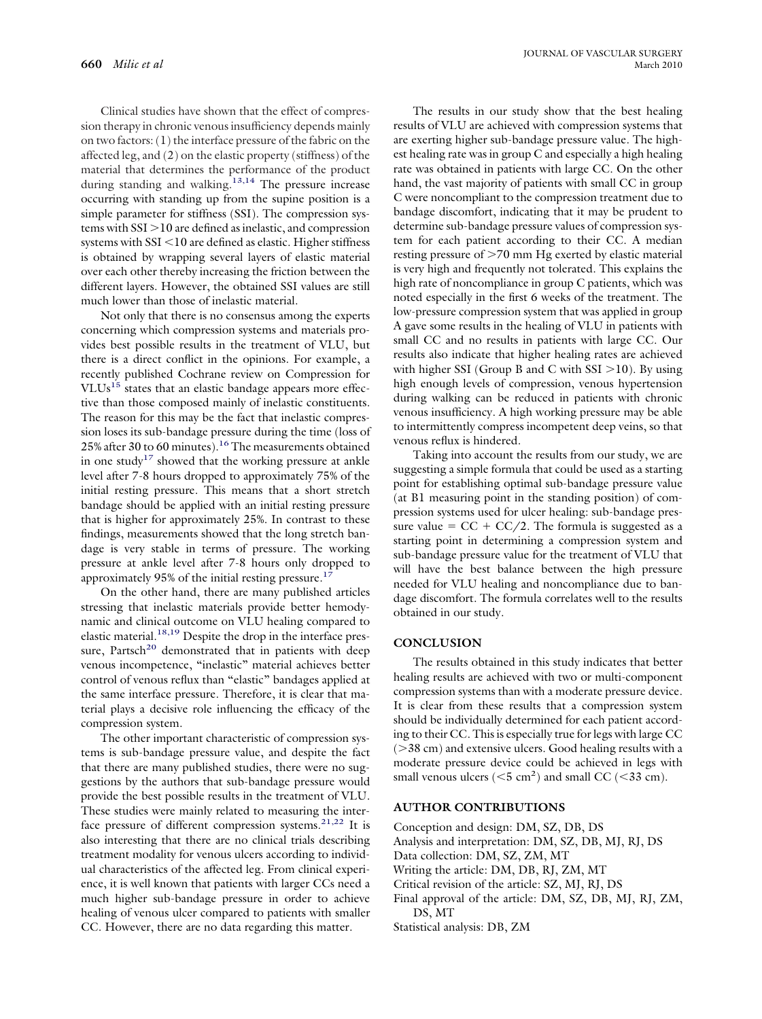Clinical studies have shown that the effect of compression therapy in chronic venous insufficiency depends mainly on two factors: (1) the interface pressure of the fabric on the affected leg, and (2) on the elastic property (stiffness) of the material that determines the performance of the product during standing and walking.<sup>13,14</sup> The pressure increase occurring with standing up from the supine position is a simple parameter for stiffness (SSI). The compression systems with  $SSI > 10$  are defined as inelastic, and compression systems with SSI <10 are defined as elastic. Higher stiffness is obtained by wrapping several layers of elastic material over each other thereby increasing the friction between the different layers. However, the obtained SSI values are still much lower than those of inelastic material.

Not only that there is no consensus among the experts concerning which compression systems and materials provides best possible results in the treatment of VLU, but there is a direct conflict in the opinions. For example, a recently published Cochrane review on Compression for VLUs<sup>[15](#page-6-0)</sup> states that an elastic bandage appears more effective than those composed mainly of inelastic constituents. The reason for this may be the fact that inelastic compression loses its sub-bandage pressure during the time (loss of 25% after 30 to 60 minutes).<sup>[16](#page-6-0)</sup> The measurements obtained in one study<sup>17</sup> showed that the working pressure at ankle level after 7-8 hours dropped to approximately 75% of the initial resting pressure. This means that a short stretch bandage should be applied with an initial resting pressure that is higher for approximately 25%. In contrast to these findings, measurements showed that the long stretch bandage is very stable in terms of pressure. The working pressure at ankle level after 7-8 hours only dropped to approximately 95% of the initial resting pressure.<sup>17</sup>

On the other hand, there are many published articles stressing that inelastic materials provide better hemodynamic and clinical outcome on VLU healing compared to elastic material.<sup>18,19</sup> Despite the drop in the interface pressure, Partsch<sup>20</sup> demonstrated that in patients with deep venous incompetence, "inelastic" material achieves better control of venous reflux than "elastic" bandages applied at the same interface pressure. Therefore, it is clear that material plays a decisive role influencing the efficacy of the compression system.

The other important characteristic of compression systems is sub-bandage pressure value, and despite the fact that there are many published studies, there were no suggestions by the authors that sub-bandage pressure would provide the best possible results in the treatment of VLU. These studies were mainly related to measuring the inter-face pressure of different compression systems.<sup>[21,22](#page-6-0)</sup> It is also interesting that there are no clinical trials describing treatment modality for venous ulcers according to individual characteristics of the affected leg. From clinical experience, it is well known that patients with larger CCs need a much higher sub-bandage pressure in order to achieve healing of venous ulcer compared to patients with smaller CC. However, there are no data regarding this matter.

The results in our study show that the best healing results of VLU are achieved with compression systems that are exerting higher sub-bandage pressure value. The highest healing rate was in group C and especially a high healing rate was obtained in patients with large CC. On the other hand, the vast majority of patients with small CC in group C were noncompliant to the compression treatment due to bandage discomfort, indicating that it may be prudent to determine sub-bandage pressure values of compression system for each patient according to their CC. A median resting pressure of  $>70$  mm Hg exerted by elastic material is very high and frequently not tolerated. This explains the high rate of noncompliance in group C patients, which was noted especially in the first 6 weeks of the treatment. The low-pressure compression system that was applied in group A gave some results in the healing of VLU in patients with small CC and no results in patients with large CC. Our results also indicate that higher healing rates are achieved with higher SSI (Group B and C with  $\text{SSI} > 10$ ). By using high enough levels of compression, venous hypertension during walking can be reduced in patients with chronic venous insufficiency. A high working pressure may be able to intermittently compress incompetent deep veins, so that venous reflux is hindered.

Taking into account the results from our study, we are suggesting a simple formula that could be used as a starting point for establishing optimal sub-bandage pressure value (at B1 measuring point in the standing position) of compression systems used for ulcer healing: sub-bandage pressure value =  $CC + CC/2$ . The formula is suggested as a starting point in determining a compression system and sub-bandage pressure value for the treatment of VLU that will have the best balance between the high pressure needed for VLU healing and noncompliance due to bandage discomfort. The formula correlates well to the results obtained in our study.

## **CONCLUSION**

The results obtained in this study indicates that better healing results are achieved with two or multi-component compression systems than with a moderate pressure device. It is clear from these results that a compression system should be individually determined for each patient according to their CC. This is especially true for legs with large CC  $($ >38 cm) and extensive ulcers. Good healing results with a moderate pressure device could be achieved in legs with small venous ulcers  $(<5 \text{ cm}^2$ ) and small CC  $(<33 \text{ cm})$ .

## **AUTHOR CONTRIBUTIONS**

Conception and design: DM, SZ, DB, DS

Analysis and interpretation: DM, SZ, DB, MJ, RJ, DS

Data collection: DM, SZ, ZM, MT

- Writing the article: DM, DB, RJ, ZM, MT
- Critical revision of the article: SZ, MJ, RJ, DS
- Final approval of the article: DM, SZ, DB, MJ, RJ, ZM, DS, MT

Statistical analysis: DB, ZM